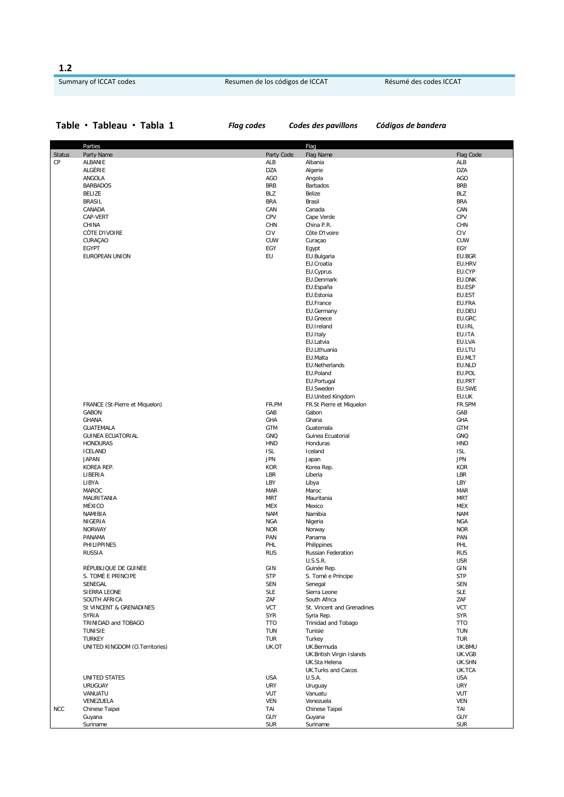**1.2**

## Summary of ICCAT codes **Resumen de los códigos de ICCAT** Résumé des codes ICCAT

## **Table Tableau Tabla 1** *Flag codes Codes des pavillons Códigos de bandera*

|               | Parties                                        |                   | Flag                              |                          |
|---------------|------------------------------------------------|-------------------|-----------------------------------|--------------------------|
| <b>Status</b> | Party Name                                     | Party Code        | Flag Name                         | Flag Code                |
| СP            | ALBANIE                                        | ALB               | Albania                           | ALB                      |
|               | ALGÉRIE                                        | <b>DZA</b>        | Algerie                           | <b>DZA</b>               |
|               | ANGOLA                                         | AGO               | Angola                            | AGO                      |
|               | <b>BARBADOS</b>                                | <b>BRB</b>        | Barbados                          | <b>BRB</b>               |
|               | <b>BELIZE</b>                                  | BLZ               | Belize                            | <b>BLZ</b>               |
|               | <b>BRASIL</b>                                  | <b>BRA</b>        | Brasil                            | <b>BRA</b>               |
|               | CANADA                                         | CAN               | Canada                            | CAN                      |
|               | CAP-VERT                                       | CPV               | Cape Verde                        | CPV                      |
|               | CHINA                                          | CHN               | China P.R.                        | <b>CHN</b>               |
|               | CÔTE D'IVOIRE                                  | CIV               | Côte D'Ivoire                     | CIV                      |
|               | CURAÇAO                                        | CUW               | Curaçao                           | CUW                      |
|               | EGYPT                                          | EGY               | Egypt                             | EGY                      |
|               | EUROPEAN UNION                                 | EU                | EU.Bulgaria                       | EU.BGR                   |
|               |                                                |                   | EU.Croatia                        | EU.HRV                   |
|               |                                                |                   | EU.Cyprus                         | EU.CYP                   |
|               |                                                |                   | EU.Denmark                        | EU.DNK                   |
|               |                                                |                   | EU.España                         | EU.ESP                   |
|               |                                                |                   | EU.Estonia                        | EU.EST                   |
|               |                                                |                   | EU.France                         | EU.FRA                   |
|               |                                                |                   | EU.Germany                        | EU.DEU                   |
|               |                                                |                   | EU.Greece                         | EU.GRC                   |
|               |                                                |                   | EU.Ireland                        | EU.IRL                   |
|               |                                                |                   | EU.Italy                          | EU.ITA                   |
|               |                                                |                   | EU.Latvia                         | EU.LVA                   |
|               |                                                |                   | EU.Lithuania                      | EU.LTU                   |
|               |                                                |                   | EU.Malta                          | EU.MLT                   |
|               |                                                |                   | EU.Netherlands                    | EU.NLD                   |
|               |                                                |                   | EU.Poland                         | EU.POL                   |
|               |                                                |                   | EU.Portugal                       | EU.PRT                   |
|               |                                                |                   | EU.Sweden                         | EU.SWE                   |
|               |                                                | FR.PM             | <b>EU.United Kingdom</b>          | EU.UK                    |
|               | FRANCE (St-Pierre et Miquelon)<br><b>GABON</b> | GAB               | FR.St Pierre et Miquelon<br>Gabon | FR.SPM<br>GAB            |
|               | <b>GHANA</b>                                   | GHA               | Ghana                             | GHA                      |
|               | GUATEMALA                                      | <b>GTM</b>        | Guatemala                         | GTM                      |
|               | <b>GUINEA ECUATORIAL</b>                       | GNQ               | Guinea Ecuatorial                 | GNQ                      |
|               | <b>HONDURAS</b>                                | <b>HND</b>        | Honduras                          | <b>HND</b>               |
|               | <b>ICELAND</b>                                 | <b>ISL</b>        | Iceland                           | <b>ISL</b>               |
|               | <b>JAPAN</b>                                   | <b>JPN</b>        | Japan                             | <b>JPN</b>               |
|               | KOREA REP.                                     | <b>KOR</b>        | Korea Rep.                        | <b>KOR</b>               |
|               | LIBERIA                                        | LBR               | Liberia                           | LBR                      |
|               | LIBYA                                          | LBY               | Libya                             | LBY                      |
|               | MAROC                                          | <b>MAR</b>        | Maroc                             | <b>MAR</b>               |
|               | MAURITANIA                                     | <b>MRT</b>        | Mauritania                        | <b>MRT</b>               |
|               | MÉXICO                                         | <b>MEX</b>        | Mexico                            | MEX                      |
|               | NAMIBIA                                        | <b>NAM</b>        | Namibia                           | <b>NAM</b>               |
|               | NIGERIA                                        | <b>NGA</b>        | Nigeria                           | <b>NGA</b>               |
|               | <b>NORWAY</b>                                  | <b>NOR</b>        | Norway                            | <b>NOR</b>               |
|               | PANAMA                                         | PAN               | Panama                            | PAN                      |
|               | PHILIPPINES                                    | PHL               | Philippines                       | PHL                      |
|               | <b>RUSSIA</b>                                  | <b>RUS</b>        | Russian Federation                | <b>RUS</b>               |
|               |                                                |                   | U.S.S.R.                          | <b>USR</b>               |
|               | RÉPUBLIQUE DE GUINÉE                           | GIN               | Guinée Rep.                       | GIN                      |
|               | S. TOMÉ E PRÍNCIPE                             | <b>STP</b>        | S. Tomé e Príncipe                | <b>STP</b>               |
|               | SENEGAL                                        | <b>SEN</b>        | Senegal                           | SEN                      |
|               | SIERRA LEONE                                   | <b>SLE</b>        | Sierra Leone                      | <b>SLE</b>               |
|               | SOUTH AFRICA                                   | ZAF               | South Africa                      | ZAF                      |
|               | St VINCENT & GRENADINES                        | VCT               | St. Vincent and Grenadines        | <b>VCT</b>               |
|               | <b>SYRIA</b>                                   | <b>SYR</b>        | Syria Rep.                        | SYR                      |
|               | TRINIDAD and TOBAGO                            | <b>TTO</b>        | Trinidad and Tobago               | <b>TTO</b>               |
|               | <b>TUNISIE</b>                                 | <b>TUN</b>        | Tunisie                           | <b>TUN</b>               |
|               | <b>TURKEY</b>                                  | <b>TUR</b>        | Turkey                            | <b>TUR</b>               |
|               | UNITED KINGDOM (O.Territories)                 | UK.OT             | UK.Bermuda                        | UK.BMU                   |
|               |                                                |                   | UK.British Virgin Islands         | UK.VGB                   |
|               |                                                |                   | UK.Sta Helena                     | UK.SHN                   |
|               |                                                |                   | <b>UK.Turks and Caicos</b>        | UK.TCA                   |
|               | <b>UNITED STATES</b>                           | <b>USA</b>        | U.S.A.                            | <b>USA</b>               |
|               | <b>URUGUAY</b>                                 | <b>URY</b>        | Uruguay                           | <b>URY</b>               |
|               | VANUATU                                        | VUT<br><b>VEN</b> | Vanuatu<br>Venezuela              | <b>VUT</b><br><b>VEN</b> |
| <b>NCC</b>    | VENEZUELA<br>Chinese Taipei                    | TAI               | Chinese Taipei                    | TAI                      |
|               | Guyana                                         | <b>GUY</b>        | Guyana                            | GUY                      |
|               | Suriname                                       | <b>SUR</b>        | Suriname                          | <b>SUR</b>               |